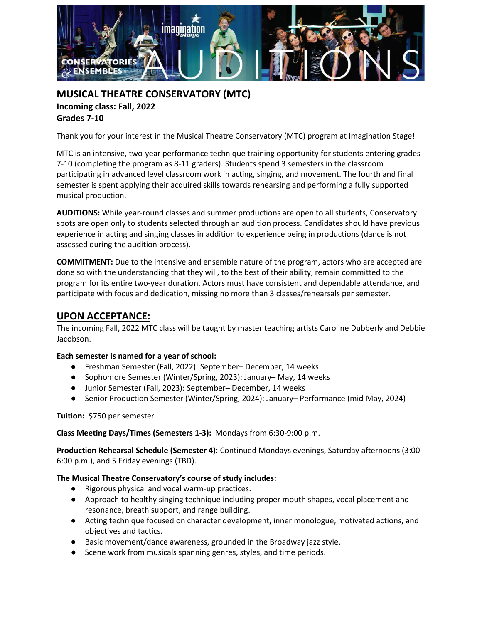

# **MUSICAL THEATRE CONSERVATORY (MTC) Incoming class: Fall, 2022 Grades 7-10**

Thank you for your interest in the Musical Theatre Conservatory (MTC) program at Imagination Stage!

MTC is an intensive, two-year performance technique training opportunity for students entering grades 7-10 (completing the program as 8-11 graders). Students spend 3 semesters in the classroom participating in advanced level classroom work in acting, singing, and movement. The fourth and final semester is spent applying their acquired skills towards rehearsing and performing a fully supported musical production.

**AUDITIONS:** While year-round classes and summer productions are open to all students, Conservatory spots are open only to students selected through an audition process. Candidates should have previous experience in acting and singing classes in addition to experience being in productions (dance is not assessed during the audition process).

**COMMITMENT:** Due to the intensive and ensemble nature of the program, actors who are accepted are done so with the understanding that they will, to the best of their ability, remain committed to the program for its entire two-year duration. Actors must have consistent and dependable attendance, and participate with focus and dedication, missing no more than 3 classes/rehearsals per semester.

# **UPON ACCEPTANCE:**

The incoming Fall, 2022 MTC class will be taught by master teaching artists Caroline Dubberly and Debbie Jacobson.

### **Each semester is named for a year of school:**

- Freshman Semester (Fall, 2022): September– December, 14 weeks
- Sophomore Semester (Winter/Spring, 2023): January–May, 14 weeks
- Junior Semester (Fall, 2023): September– December, 14 weeks
- Senior Production Semester (Winter/Spring, 2024): January– Performance (mid-May, 2024)

**Tuition:** \$750 per semester

### **Class Meeting Days/Times (Semesters 1-3):** Mondays from 6:30-9:00 p.m.

**Production Rehearsal Schedule (Semester 4)**: Continued Mondays evenings, Saturday afternoons (3:00- 6:00 p.m.), and 5 Friday evenings (TBD).

### **The Musical Theatre Conservatory's course of study includes:**

- Rigorous physical and vocal warm-up practices.
- Approach to healthy singing technique including proper mouth shapes, vocal placement and resonance, breath support, and range building.
- Acting technique focused on character development, inner monologue, motivated actions, and objectives and tactics.
- Basic movement/dance awareness, grounded in the Broadway jazz style.
- Scene work from musicals spanning genres, styles, and time periods.